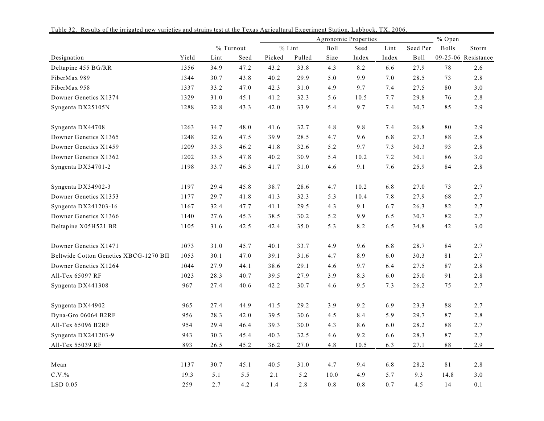|                                        |       |           |      | Agronomic Properties |        |              |         |       | % Open   |       |                     |  |
|----------------------------------------|-------|-----------|------|----------------------|--------|--------------|---------|-------|----------|-------|---------------------|--|
|                                        |       | % Turnout |      | $%$ Lint             |        | Boll<br>Seed |         | Lint  | Seed Per | Bolls | Storm               |  |
| Designation                            | Yield | Lint      | Seed | Picked               | Pulled | Size         | Index   | Index | Boll     |       | 09-25-06 Resistance |  |
| Deltapine 455 BG/RR                    | 1356  | 34.9      | 47.2 | 43.2                 | 33.8   | 4.3          | $8.2\,$ | 6.6   | 27.9     | 78    | 2.6                 |  |
| FiberMax 989                           | 1344  | 30.7      | 43.8 | 40.2                 | 29.9   | 5.0          | 9.9     | 7.0   | 28.5     | 73    | 2.8                 |  |
| FiberMax 958                           | 1337  | 33.2      | 47.0 | 42.3                 | 31.0   | 4.9          | 9.7     | 7.4   | 27.5     | 80    | $3.0\,$             |  |
| Downer Genetics X1374                  | 1329  | 31.0      | 45.1 | 41.2                 | 32.3   | 5.6          | 10.5    | 7.7   | 29.8     | 76    | 2.8                 |  |
| Syngenta DX25105N                      | 1288  | 32.8      | 43.3 | 42.0                 | 33.9   | 5.4          | 9.7     | 7.4   | 30.7     | 85    | 2.9                 |  |
| Syngenta DX44708                       | 1263  | 34.7      | 48.0 | 41.6                 | 32.7   | 4.8          | 9.8     | 7.4   | 26.8     | 80    | 2.9                 |  |
| Downer Genetics X1365                  | 1248  | 32.6      | 47.5 | 39.9                 | 28.5   | 4.7          | 9.6     | 6.8   | 27.3     | 88    | 2.8                 |  |
| Downer Genetics X1459                  | 1209  | 33.3      | 46.2 | 41.8                 | 32.6   | 5.2          | 9.7     | 7.3   | 30.3     | 93    | 2.8                 |  |
| Downer Genetics X1362                  | 1202  | 33.5      | 47.8 | 40.2                 | 30.9   | 5.4          | 10.2    | 7.2   | 30.1     | 86    | 3.0                 |  |
| Syngenta DX34701-2                     | 1198  | 33.7      | 46.3 | 41.7                 | 31.0   | 4.6          | 9.1     | 7.6   | 25.9     | 84    | 2.8                 |  |
| Syngenta DX34902-3                     | 1197  | 29.4      | 45.8 | 38.7                 | 28.6   | 4.7          | 10.2    | 6.8   | 27.0     | 73    | 2.7                 |  |
| Downer Genetics X1353                  | 1177  | 29.7      | 41.8 | 41.3                 | 32.3   | 5.3          | 10.4    | 7.8   | 27.9     | 68    | 2.7                 |  |
| Syngenta DX241203-16                   | 1167  | 32.4      | 47.7 | 41.1                 | 29.5   | 4.3          | 9.1     | 6.7   | 26.3     | 82    | 2.7                 |  |
| Downer Genetics X1366                  | 1140  | 27.6      | 45.3 | 38.5                 | 30.2   | 5.2          | 9.9     | 6.5   | 30.7     | 82    | 2.7                 |  |
| Deltapine X05H521 BR                   | 1105  | 31.6      | 42.5 | 42.4                 | 35.0   | 5.3          | $8.2\,$ | 6.5   | 34.8     | 42    | 3.0                 |  |
| Downer Genetics X1471                  | 1073  | 31.0      | 45.7 | 40.1                 | 33.7   | 4.9          | 9.6     | 6.8   | 28.7     | 84    | 2.7                 |  |
| Beltwide Cotton Genetics XBCG-1270 BII | 1053  | 30.1      | 47.0 | 39.1                 | 31.6   | 4.7          | 8.9     | 6.0   | 30.3     | 81    | 2.7                 |  |
| Downer Genetics X1264                  | 1044  | 27.9      | 44.1 | 38.6                 | 29.1   | 4.6          | 9.7     | 6.4   | 27.5     | 87    | 2.8                 |  |
| All-Tex 65097 RF                       | 1023  | 28.3      | 40.7 | 39.5                 | 27.9   | 3.9          | 8.3     | 6.0   | 25.0     | 91    | 2.8                 |  |
| Syngenta DX441308                      | 967   | 27.4      | 40.6 | 42.2                 | 30.7   | 4.6          | 9.5     | 7.3   | 26.2     | 75    | 2.7                 |  |
| Syngenta DX44902                       | 965   | 27.4      | 44.9 | 41.5                 | 29.2   | 3.9          | 9.2     | 6.9   | 23.3     | 88    | 2.7                 |  |
| Dyna-Gro 06064 B2RF                    | 956   | 28.3      | 42.0 | 39.5                 | 30.6   | 4.5          | 8.4     | 5.9   | 29.7     | 87    | 2.8                 |  |
| All-Tex 65096 B2RF                     | 954   | 29.4      | 46.4 | 39.3                 | 30.0   | 4.3          | 8.6     | 6.0   | 28.2     | 88    | 2.7                 |  |
| Syngenta DX241203-9                    | 943   | 30.3      | 45.4 | 40.3                 | 32.5   | 4.6          | 9.2     | 6.6   | 28.3     | 87    | 2.7                 |  |
| All-Tex 55039 RF                       | 893   | 26.5      | 45.2 | 36.2                 | 27.0   | 4.8          | 10.5    | 6.3   | 27.1     | 88    | 2.9                 |  |
| Mean                                   | 1137  | 30.7      | 45.1 | 40.5                 | 31.0   | 4.7          | 9.4     | 6.8   | 28.2     | 81    | 2.8                 |  |
| $C.V.$ %                               | 19.3  | 5.1       | 5.5  | 2.1                  | 5.2    | 10.0         | 4.9     | 5.7   | 9.3      | 14.8  | 3.0                 |  |
| LSD 0.05                               | 259   | 2.7       | 4.2  | 1.4                  | 2.8    | 0.8          | 0.8     | 0.7   | 4.5      | 14    | 0.1                 |  |

Table 32. Results of the irrigated new varieties and strains test at the Texas Agricultural Experiment Station, Lubbock, TX, 2006.